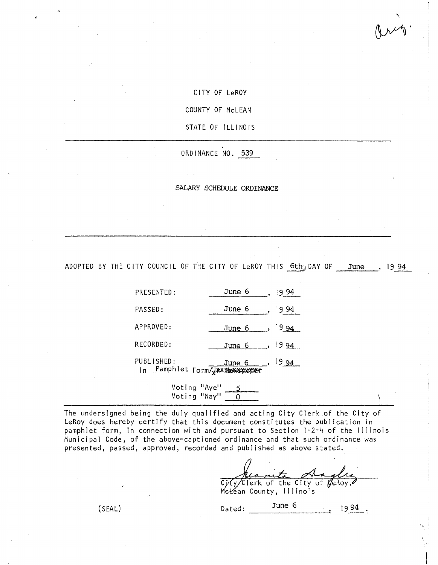1 ~

CITY OF LeROY

COUNTY OF McLEAN

STATE OF ILLINOIS

ORDINANCE NO.. 539

SALARY SCHEDULE ORDINANCE

ADOPTED BY THE CITY COUNCIL OF THE CITY OF LeROY THIS  $6th_3$  DAY OF June, 19 94

| PRESENTED: | June 6                                             |                  |
|------------|----------------------------------------------------|------------------|
| PASSED:    | June 6                                             | 1994             |
| APPROVED:  | June 6                                             | - 19 94 I        |
| RECORDED:  | June 6                                             | 19 94            |
| PUBLISHED: | <u>June 6</u><br>In Pamphlet Form/JAXXbeXXSXXXXXXX | <sup>19</sup> 94 |

Voting "Aye" 5 Voting "Nay" <u>\_\_ O </u>

The undersigned being the duly qualified and acting City Clerk of the City of LeRoy does hereby certify that this document constitutes the publication in pamphlet form, in connection with and pursuant to Section 1-2-4 of the Illinois Municipal Code, of the above-captioned ordinance and that such ordinance was presented, passed, approved, recorded and published as above stated.

Kismita Anglie<br>City/Clerk of the City of GeRoy,

Mekean County, Illinois

 $(SEAL)$  Dated:  $\frac{\text{June } 6}{\text{June } 6}$  1994.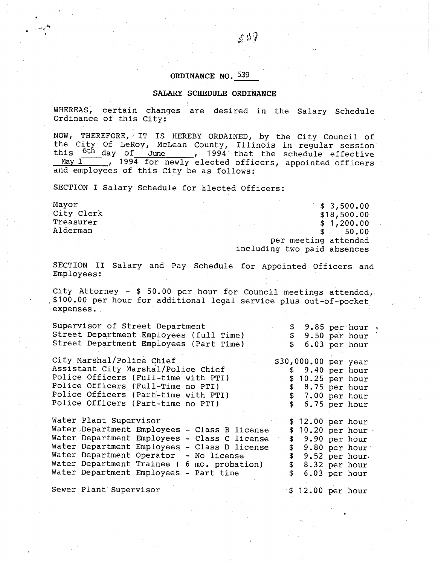## **ORDINANCE NO.** 539

## **SALARY SCHEDULE ORDINANCE**

WHEREAS, certain changes are desired in the Salary Schedule Ordinance of this City:

NOW, THEREFORE, IT IS HEREBY ORDAINED, by the City Council of the City Of LeRoy, McLean County, Illinois in regular session this  $\frac{6th}{1}$  day of June , 1994 that the schedule effective  $\frac{M_{\text{day}}}{M_{\text{yy}}}$ , 1994 for newly elected officers, appointed officers and employees of this City be as follows:

SECTION I Salary Schedule for Elected Officers:

f *ti r j* 

> Mayor \$ 3,500.00<br>City Clerk \$ 3,500.00 \$ 3,500.00 City Clerk \$18,500.00<br>Treasurer \$18,500.00 \$18,500.00 \$18,500.00 \$18,500.00 \$1.200.00 \$1.200.00 \$1.200.00 \$1.200.00 \$1.200.00 \$1.200 Treasurer \$ 1,200.00<br>Alderman \$ 50.00 Alderman \$ 50.00 per meeting attended including two paid absences

> SECTION II Salary and Pay Schedule for Appointed Officers and Employees:

> City Attorney - \$ 50.00 per hour for Council meetings attended, ,\$100.00 per hour for additional legal service plus out-of-pocket expenses.

| Supervisor of Street Department<br>Street Department Employees (full Time)<br>Street Department Employees (Part Time)                                                                                                                                                                                                                                                               | $\Delta \sim 0.01$ and $\Delta \sim 0.01$ | \$9.85 per hour.<br>\$9.50 per hour                                                                                                 | 6.03 per hour |  |
|-------------------------------------------------------------------------------------------------------------------------------------------------------------------------------------------------------------------------------------------------------------------------------------------------------------------------------------------------------------------------------------|-------------------------------------------|-------------------------------------------------------------------------------------------------------------------------------------|---------------|--|
| City Marshal/Police Chief<br>Assistant City Marshal/Police Chief<br>Police Officers (Full-time with PTI)<br>$\mathcal{L}(\mathcal{L}^{\mathcal{L}})$ and $\mathcal{L}^{\mathcal{L}}$ and $\mathcal{L}^{\mathcal{L}}$<br>Police Officers (Full-Time no PTI)<br>$\mathcal{L}^{\text{max}}_{\text{max}}$<br>Police Officers (Part-time with PTI)<br>Police Officers (Part-time no PTI) |                                           | \$30,000.00 per year<br>\$9.40~per~hour<br>\$10.25 per hour<br>\$8.75 per hour<br>\$7.00 per hour<br>\$6.75 per hour                |               |  |
| Water Plant Supervisor<br>Water Department Employees - Class B license<br>Water Department Employees - Class C license<br>Water Department Employees - Class D license<br>Water Department Operator - No license<br>Water Department Trainee ( 6 mo. probation)<br>Water Department Employees - Part time                                                                           | \$.<br>$\mathfrak{p}$                     | \$ 12.00 per hour<br>10.20 per hour<br>\$9.90~per~hour<br>\$9.80 per hour<br>$$9.52$ per hour.<br>$$8.32$ per hour<br>6.03 per hour |               |  |

Sewer Plant Supervisor **\$ 12.00 per hour**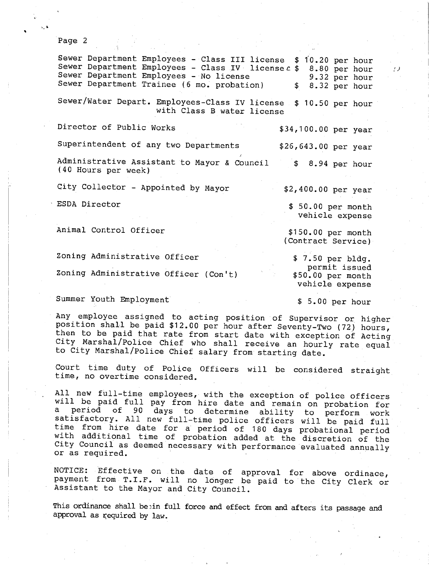Page 2

Sewer Department Employees - Class III license \$ 10.20 per hour Sewer Department Employees - Class IV license c \$ 8.80 per hour Sewer Department Employees - No license 9.32 per hour Sewer Department Trainee (6 mo. probation)  $\qquad$  8.32 per hour Sewer/Water Depart. Employees-Class IV license \$ 10.50 per hour with Class B water license Director of Public Works Superintendent of any two Departments Administrative Assistant to Mayor & Council 3 8.94 per hour (40 Hours per week) \$34,100.00 per year \$26,643.00 per year City Collector - Appointed by Mayor  $$2,400.00$  per year ESDA Director \$ 50.00 per month vehicle expense Animal Control Officer  $$150.00$  per month (Contract Service) Zoning Administrative Officer 5 7.50 per bldg. permit issued<br>\$50.00 per month Zoning Administrative Officer (Con't) vehicle expense Summer Youth Employment \$ 5.00 per hour

f)

Any employee assigned to acting position of Supervisor or higher position shall be paid \$12.00 per hour after Seventy-Two (72) hours, then to be paid that rate from start date with exception of Acting City Marshal/Police Chief who shall receive an hourly rate equal to City Marshal/Police Chief salary from starting date.

Court time duty of Police Officers will be considered straight time, no overtime considered.

All new full-time employees, with the exception of police officers will be paid full pay from hire date and remain on probation for<br>a period of 90 days to determine ability to porform usub period of 90 days to determine ability to perform work satisfactory. All new full-time police officers will be paid full time from hire date for a period of 180 days probational period with additional time of probation added at the discretion of the City Council as deemed necessary with performance evaluated annually or as required.

NOTICE: Effective on the date of approval for above ordinace, payment from T.I.F. will no longer be paid to the City Clerk or Assistant to the Mayor and City Council.

This ordinance shall be<sub>in</sub> full force and effect from and afters its passage and approval as required by law.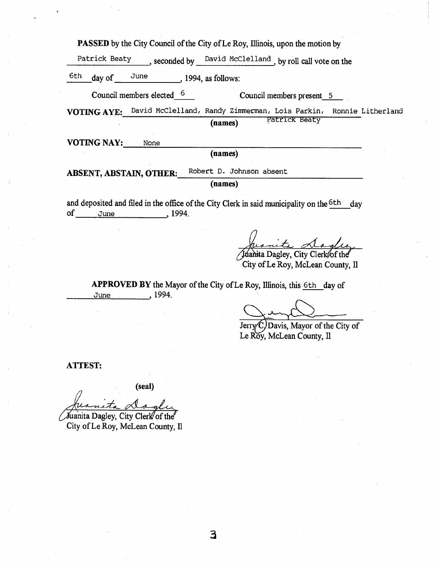**PASSED** by the City Council of the City of Le Roy, Illinois, upon the motion by

Patrick Beaty , seconded by David McClelland, by roll call vote on the

 $\frac{6th}{ }$  day of  $\frac{June}{ }$ , 1994, as follows:

Council members elected 6 Council members present 5

**VOTING AYE:** David McClelland, Randy Zimmerman, Lois Parkin, Ronnie Litherland (names) **Patrick Beaty** 

VOTING NAY: None

**(names)** 

ABSENT, ABSTAIN, OTHER: Robert D. Johnson absent

**(names)** 

and deposited and filed in the office of the City Clerk in said municipality on the <sup>6th</sup> day of June , 1994.

Inanita Dagley, City Clerk/of the

City of Le Roy, McLean County, Il

**APPROVED BY** the Mayor of the City of Le Roy, Illinois, this 6th day of June , 1994.

JerryC Davis, Mayor of the City of Le Roy, McLean County, 11

**ATTEST:** 

**(seal)** 

Juanita Dagley, City Clerk of City of Le Roy, McLean County, Il